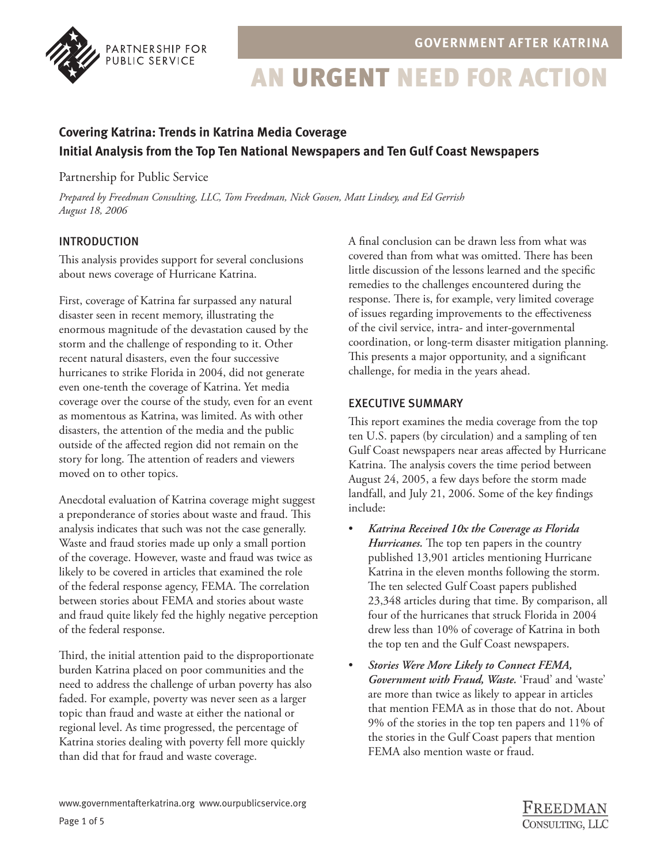

## **Covering Katrina: Trends in Katrina Media Coverage Initial Analysis from the Top Ten National Newspapers and Ten Gulf Coast Newspapers**

#### Partnership for Public Service

*Prepared by Freedman Consulting, LLC, Tom Freedman, Nick Gossen, Matt Lindsey, and Ed Gerrish August 18, 2006*

### INTRODUCTION

This analysis provides support for several conclusions about news coverage of Hurricane Katrina.

First, coverage of Katrina far surpassed any natural disaster seen in recent memory, illustrating the enormous magnitude of the devastation caused by the storm and the challenge of responding to it. Other recent natural disasters, even the four successive hurricanes to strike Florida in 2004, did not generate even one-tenth the coverage of Katrina. Yet media coverage over the course of the study, even for an event as momentous as Katrina, was limited. As with other disasters, the attention of the media and the public outside of the affected region did not remain on the story for long. The attention of readers and viewers moved on to other topics.

Anecdotal evaluation of Katrina coverage might suggest a preponderance of stories about waste and fraud. This analysis indicates that such was not the case generally. Waste and fraud stories made up only a small portion of the coverage. However, waste and fraud was twice as likely to be covered in articles that examined the role of the federal response agency, FEMA. The correlation between stories about FEMA and stories about waste and fraud quite likely fed the highly negative perception of the federal response.

Third, the initial attention paid to the disproportionate burden Katrina placed on poor communities and the need to address the challenge of urban poverty has also faded. For example, poverty was never seen as a larger topic than fraud and waste at either the national or regional level. As time progressed, the percentage of Katrina stories dealing with poverty fell more quickly than did that for fraud and waste coverage.

A final conclusion can be drawn less from what was covered than from what was omitted. There has been little discussion of the lessons learned and the specific remedies to the challenges encountered during the response. There is, for example, very limited coverage of issues regarding improvements to the effectiveness of the civil service, intra- and inter-governmental coordination, or long-term disaster mitigation planning. This presents a major opportunity, and a significant challenge, for media in the years ahead.

#### EXECUTIVE SUMMARY

This report examines the media coverage from the top ten U.S. papers (by circulation) and a sampling of ten Gulf Coast newspapers near areas affected by Hurricane Katrina. The analysis covers the time period between August 24, 2005, a few days before the storm made landfall, and July 21, 2006. Some of the key findings include:

- *Katrina Received 10x the Coverage as Florida Hurricanes*. The top ten papers in the country published 13,901 articles mentioning Hurricane Katrina in the eleven months following the storm. The ten selected Gulf Coast papers published 23,348 articles during that time. By comparison, all four of the hurricanes that struck Florida in 2004 drew less than 10% of coverage of Katrina in both the top ten and the Gulf Coast newspapers.
- *Stories Were More Likely to Connect FEMA, Government with Fraud, Waste.* 'Fraud' and 'waste' are more than twice as likely to appear in articles that mention FEMA as in those that do not. About 9% of the stories in the top ten papers and 11% of the stories in the Gulf Coast papers that mention FEMA also mention waste or fraud.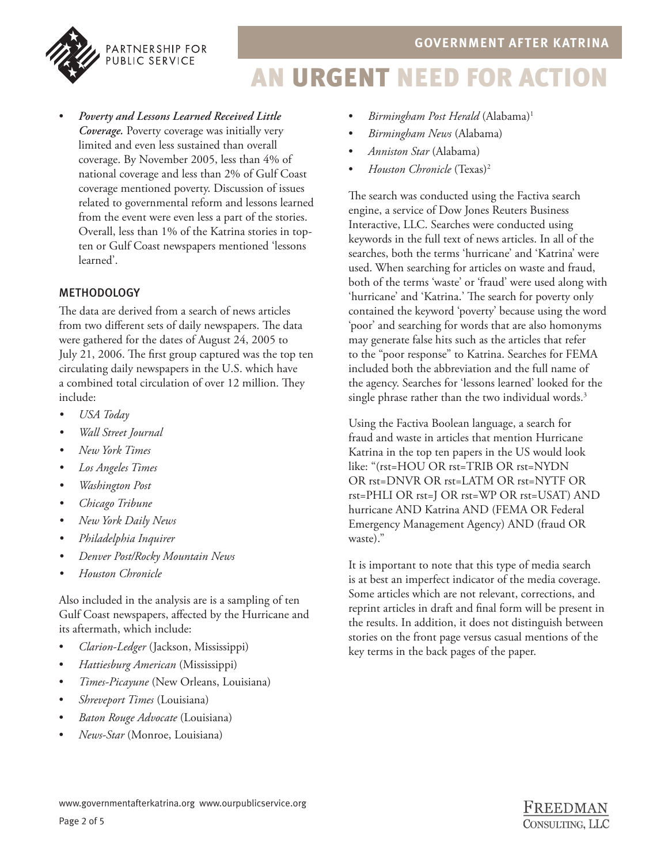

• *Poverty and Lessons Learned Received Little Coverage.* Poverty coverage was initially very limited and even less sustained than overall coverage. By November 2005, less than 4% of national coverage and less than 2% of Gulf Coast coverage mentioned poverty. Discussion of issues related to governmental reform and lessons learned from the event were even less a part of the stories. Overall, less than 1% of the Katrina stories in topten or Gulf Coast newspapers mentioned 'lessons learned'.

## METHODOLOGY

The data are derived from a search of news articles from two different sets of daily newspapers. The data were gathered for the dates of August 24, 2005 to July 21, 2006. The first group captured was the top ten circulating daily newspapers in the U.S. which have a combined total circulation of over 12 million. They include:

- *• USA Today*
- *• Wall Street Journal*
- *• New York Times*
- *• Los Angeles Times*
- *• Washington Post*
- *• Chicago Tribune*
- *• New York Daily News*
- *• Philadelphia Inquirer*
- *• Denver Post/Rocky Mountain News*
- *• Houston Chronicle*

Also included in the analysis are is a sampling of ten Gulf Coast newspapers, affected by the Hurricane and its aftermath, which include:

- *Clarion-Ledger* (Jackson, Mississippi)
- *Hattiesburg American* (Mississippi)
- *Times-Picayune* (New Orleans, Louisiana)
- *Shreveport Times* (Louisiana)
- *Baton Rouge Advocate* (Louisiana)
- *News-Star* (Monroe, Louisiana)
- *Birmingham Post Herald* (Alabama)1
- *Birmingham News* (Alabama)
- *Anniston Star* (Alabama)
- *Houston Chronicle* (Texas)2

The search was conducted using the Factiva search engine, a service of Dow Jones Reuters Business Interactive, LLC. Searches were conducted using keywords in the full text of news articles. In all of the searches, both the terms 'hurricane' and 'Katrina' were used. When searching for articles on waste and fraud, both of the terms 'waste' or 'fraud' were used along with 'hurricane' and 'Katrina.' The search for poverty only contained the keyword 'poverty' because using the word 'poor' and searching for words that are also homonyms may generate false hits such as the articles that refer to the "poor response" to Katrina. Searches for FEMA included both the abbreviation and the full name of the agency. Searches for 'lessons learned' looked for the single phrase rather than the two individual words.<sup>3</sup>

Using the Factiva Boolean language, a search for fraud and waste in articles that mention Hurricane Katrina in the top ten papers in the US would look like: "(rst=HOU OR rst=TRIB OR rst=NYDN OR rst=DNVR OR rst=LATM OR rst=NYTF OR rst=PHLI OR rst=J OR rst=WP OR rst=USAT) AND hurricane AND Katrina AND (FEMA OR Federal Emergency Management Agency) AND (fraud OR waste)."

It is important to note that this type of media search is at best an imperfect indicator of the media coverage. Some articles which are not relevant, corrections, and reprint articles in draft and final form will be present in the results. In addition, it does not distinguish between stories on the front page versus casual mentions of the key terms in the back pages of the paper.

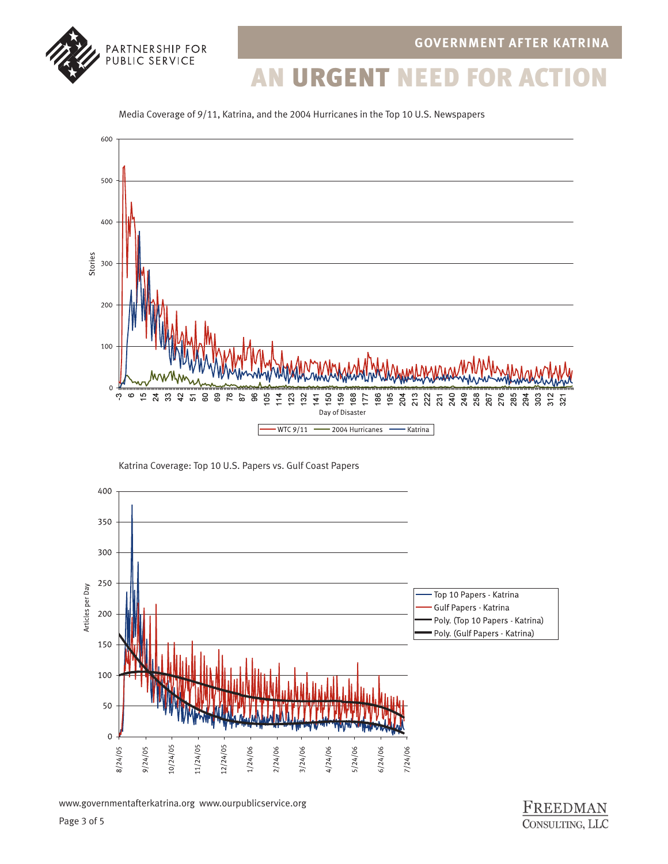

Media Coverage of 9/11, Katrina, and the 2004 Hurricanes in the Top 10 U.S. Newspapers



#### Katrina Coverage: Top 10 U.S. Papers vs. Gulf Coast Papers



www.governmentafterkatrina.org www.ourpublicservice.org

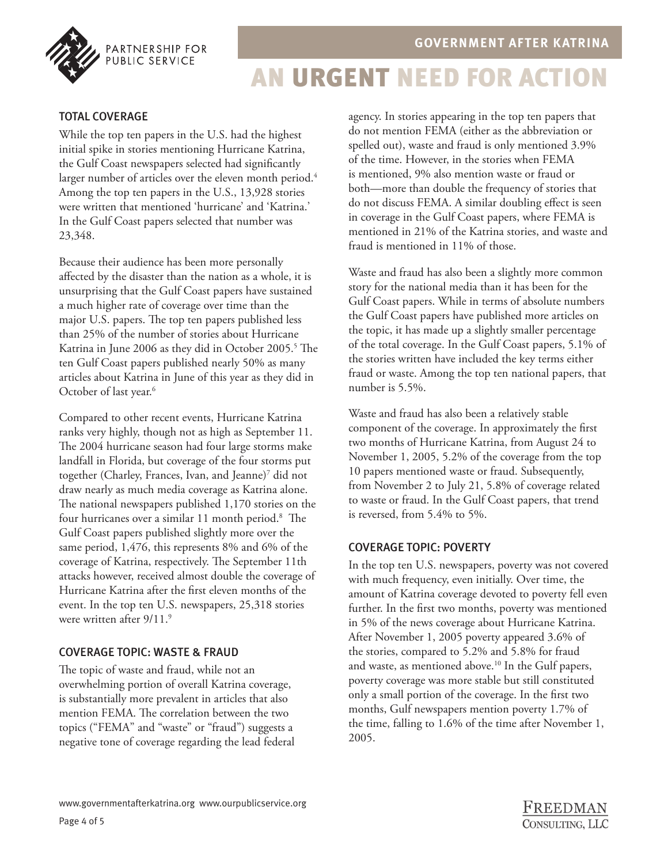

## TOTAL COVERAGE

While the top ten papers in the U.S. had the highest initial spike in stories mentioning Hurricane Katrina, the Gulf Coast newspapers selected had significantly larger number of articles over the eleven month period.<sup>4</sup> Among the top ten papers in the U.S., 13,928 stories were written that mentioned 'hurricane' and 'Katrina.' In the Gulf Coast papers selected that number was 23,348.

Because their audience has been more personally affected by the disaster than the nation as a whole, it is unsurprising that the Gulf Coast papers have sustained a much higher rate of coverage over time than the major U.S. papers. The top ten papers published less than 25% of the number of stories about Hurricane Katrina in June 2006 as they did in October 2005.<sup>5</sup> The ten Gulf Coast papers published nearly 50% as many articles about Katrina in June of this year as they did in October of last year.<sup>6</sup>

Compared to other recent events, Hurricane Katrina ranks very highly, though not as high as September 11. The 2004 hurricane season had four large storms make landfall in Florida, but coverage of the four storms put together (Charley, Frances, Ivan, and Jeanne)<sup>7</sup> did not draw nearly as much media coverage as Katrina alone. The national newspapers published  $1,170$  stories on the four hurricanes over a similar 11 month period.<sup>8</sup> The Gulf Coast papers published slightly more over the same period, 1,476, this represents 8% and 6% of the coverage of Katrina, respectively. The September 11th attacks however, received almost double the coverage of Hurricane Katrina after the first eleven months of the event. In the top ten U.S. newspapers, 25,318 stories were written after  $9/11$ .<sup>9</sup>

#### COVERAGE TOPIC: WASTE & FRAUD

The topic of waste and fraud, while not an overwhelming portion of overall Katrina coverage, is substantially more prevalent in articles that also mention FEMA. The correlation between the two topics ("FEMA" and "waste" or "fraud") suggests a negative tone of coverage regarding the lead federal agency. In stories appearing in the top ten papers that do not mention FEMA (either as the abbreviation or spelled out), waste and fraud is only mentioned 3.9% of the time. However, in the stories when FEMA is mentioned, 9% also mention waste or fraud or both—more than double the frequency of stories that do not discuss FEMA. A similar doubling effect is seen in coverage in the Gulf Coast papers, where FEMA is mentioned in 21% of the Katrina stories, and waste and fraud is mentioned in 11% of those.

Waste and fraud has also been a slightly more common story for the national media than it has been for the Gulf Coast papers. While in terms of absolute numbers the Gulf Coast papers have published more articles on the topic, it has made up a slightly smaller percentage of the total coverage. In the Gulf Coast papers, 5.1% of the stories written have included the key terms either fraud or waste. Among the top ten national papers, that number is 5.5%.

Waste and fraud has also been a relatively stable component of the coverage. In approximately the first two months of Hurricane Katrina, from August 24 to November 1, 2005, 5.2% of the coverage from the top 10 papers mentioned waste or fraud. Subsequently, from November 2 to July 21, 5.8% of coverage related to waste or fraud. In the Gulf Coast papers, that trend is reversed, from 5.4% to 5%.

#### COVERAGE TOPIC: POVERTY

In the top ten U.S. newspapers, poverty was not covered with much frequency, even initially. Over time, the amount of Katrina coverage devoted to poverty fell even further. In the first two months, poverty was mentioned in 5% of the news coverage about Hurricane Katrina. After November 1, 2005 poverty appeared 3.6% of the stories, compared to 5.2% and 5.8% for fraud and waste, as mentioned above.<sup>10</sup> In the Gulf papers, poverty coverage was more stable but still constituted only a small portion of the coverage. In the first two months, Gulf newspapers mention poverty 1.7% of the time, falling to 1.6% of the time after November 1, 2005.